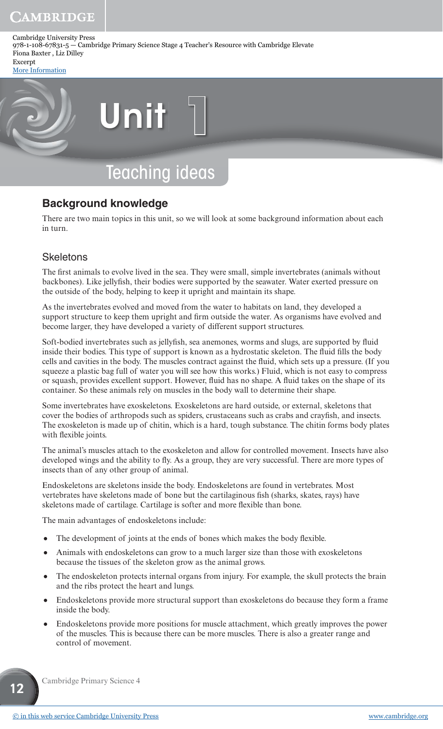Cambridge University Press 978-1-108-67831-5 — Cambridge Primary Science Stage 4 Teacher's Resource with Cambridge Elevate Fiona Baxter , Liz Dilley Excerpt

[More Information](www.cambridge.org/9781108678315)



# Teaching ideas

# **Background knowledge**

There are two main topics in this unit, so we will look at some background information about each in turn.

#### **Skeletons**

The first animals to evolve lived in the sea. They were small, simple invertebrates (animals without backbones). Like jellyfish, their bodies were supported by the seawater. Water exerted pressure on the outside of the body, helping to keep it upright and maintain its shape.

As the invertebrates evolved and moved from the water to habitats on land, they developed a support structure to keep them upright and firm outside the water. As organisms have evolved and become larger, they have developed a variety of different support structures.

Soft-bodied invertebrates such as jellyfish, sea anemones, worms and slugs, are supported by fluid inside their bodies. This type of support is known as a hydrostatic skeleton. The fluid fills the body cells and cavities in the body. The muscles contract against the fluid, which sets up a pressure. (If you squeeze a plastic bag full of water you will see how this works.) Fluid, which is not easy to compress or squash, provides excellent support. However, fluid has no shape. A fluid takes on the shape of its container. So these animals rely on muscles in the body wall to determine their shape.

Some invertebrates have exoskeletons. Exoskeletons are hard outside, or external, skeletons that cover the bodies of arthropods such as spiders, crustaceans such as crabs and crayfish, and insects. The exoskeleton is made up of chitin, which is a hard, tough substance. The chitin forms body plates with flexible joints.

The animal's muscles attach to the exoskeleton and allow for controlled movement. Insects have also developed wings and the ability to fly. As a group, they are very successful. There are more types of insects than of any other group of animal.

Endoskeletons are skeletons inside the body. Endoskeletons are found in vertebrates. Most vertebrates have skeletons made of bone but the cartilaginous fish (sharks, skates, rays) have skeletons made of cartilage. Cartilage is softer and more flexible than bone.

The main advantages of endoskeletons include:

- The development of joints at the ends of bones which makes the body flexible.
- Animals with endoskeletons can grow to a much larger size than those with exoskeletons because the tissues of the skeleton grow as the animal grows.
- The endoskeleton protects internal organs from injury. For example, the skull protects the brain and the ribs protect the heart and lungs.
- Endoskeletons provide more structural support than exoskeletons do because they form a frame inside the body.
- Endoskeletons provide more positions for muscle attachment, which greatly improves the power of the muscles. This is because there can be more muscles. There is also a greater range and control of movement.

Cambridge Primary Science 4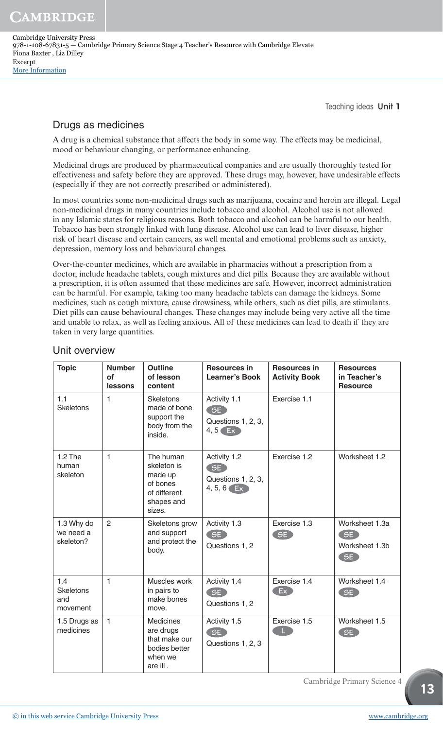Cambridge University Press 978-1-108-67831-5 — Cambridge Primary Science Stage 4 Teacher's Resource with Cambridge Elevate Fiona Baxter , Liz Dilley Excerpt [More Information](www.cambridge.org/9781108678315)

Teaching ideas Unit 1

## Drugs as medicines

A drug is a chemical substance that affects the body in some way. The effects may be medicinal, mood or behaviour changing, or performance enhancing.

Medicinal drugs are produced by pharmaceutical companies and are usually thoroughly tested for effectiveness and safety before they are approved. These drugs may, however, have undesirable effects (especially if they are not correctly prescribed or administered).

In most countries some non-medicinal drugs such as marijuana, cocaine and heroin are illegal. Legal non-medicinal drugs in many countries include tobacco and alcohol. Alcohol use is not allowed in any Islamic states for religious reasons. Both tobacco and alcohol can be harmful to our health. Tobacco has been strongly linked with lung disease. Alcohol use can lead to liver disease, higher risk of heart disease and certain cancers, as well mental and emotional problems such as anxiety, depression, memory loss and behavioural changes.

Over-the-counter medicines, which are available in pharmacies without a prescription from a doctor, include headache tablets, cough mixtures and diet pills. Because they are available without a prescription, it is often assumed that these medicines are safe. However, incorrect administration can be harmful. For example, taking too many headache tablets can damage the kidneys. Some medicines, such as cough mixture, cause drowsiness, while others, such as diet pills, are stimulants. Diet pills can cause behavioural changes. These changes may include being very active all the time and unable to relax, as well as feeling anxious. All of these medicines can lead to death if they are taken in very large quantities.

| <b>Topic</b>                               | <b>Number</b><br><b>of</b><br>lessons | <b>Outline</b><br>of lesson<br>content                                                  | <b>Resources in</b><br><b>Learner's Book</b>             | <b>Resources in</b><br><b>Activity Book</b> | <b>Resources</b><br>in Teacher's<br><b>Resource</b> |
|--------------------------------------------|---------------------------------------|-----------------------------------------------------------------------------------------|----------------------------------------------------------|---------------------------------------------|-----------------------------------------------------|
| 1.1<br><b>Skeletons</b>                    | 1                                     | <b>Skeletons</b><br>made of bone<br>support the<br>body from the<br>inside.             | Activity 1.1<br>SE<br>Questions 1, 2, 3,<br>$4,5$ Ex     | Exercise 1.1                                |                                                     |
| $1.2$ The<br>human<br>skeleton             | $\mathbf{1}$                          | The human<br>skeleton is<br>made up<br>of bones<br>of different<br>shapes and<br>sizes. | Activity 1.2<br>SE<br>Questions 1, 2, 3,<br>$4, 5, 6$ Ex | Exercise 1.2                                | Worksheet 1.2                                       |
| 1.3 Why do<br>we need a<br>skeleton?       | $\overline{2}$                        | Skeletons grow<br>and support<br>and protect the<br>body.                               | Activity 1.3<br>SE<br>Questions 1, 2                     | Exercise 1.3<br>SE                          | Worksheet 1.3a<br>SE<br>Worksheet 1.3b<br>SE        |
| 1.4<br><b>Skeletons</b><br>and<br>movement | $\mathbf{1}$                          | Muscles work<br>in pairs to<br>make bones<br>move.                                      | Activity 1.4<br>SE<br>Questions 1, 2                     | Exercise 1.4<br>Ex                          | Worksheet 1.4<br>SE                                 |
| 1.5 Drugs as<br>medicines                  | $\mathbf{1}$                          | <b>Medicines</b><br>are drugs<br>that make our<br>bodies better<br>when we<br>are ill.  | Activity 1.5<br>SE<br>Questions 1, 2, 3                  | Exercise 1.5                                | Worksheet 1.5<br>SE                                 |

#### Unit overview

Cambridge Primary Science 4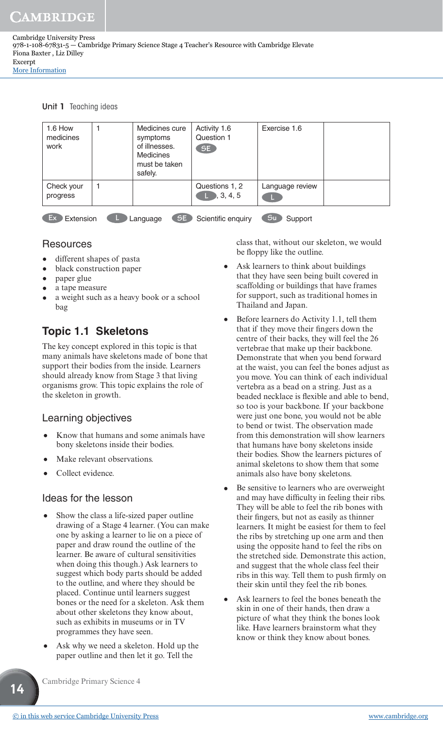Unit 1 Teaching ideas

| 1.6 How<br>medicines<br>work | Medicines cure<br>symptoms<br>of illnesses.<br>Medicines<br>must be taken<br>safely. | Activity 1.6<br>Question 1<br>SE   | Exercise 1.6    |  |
|------------------------------|--------------------------------------------------------------------------------------|------------------------------------|-----------------|--|
| Check your<br>progress       |                                                                                      | Questions 1, 2<br>$\Box$ , 3, 4, 5 | Language review |  |
| Ex<br>Extension              | SE<br>Language                                                                       | Scientific enquiry                 | Su<br>Support   |  |

#### Resources

- different shapes of pasta
- black construction paper
- paper glue
- a tape measure
- a weight such as a heavy book or a school bag

# **Topic 1.1 Skeletons**

The key concept explored in this topic is that many animals have skeletons made of bone that support their bodies from the inside. Learners should already know from Stage 3 that living organisms grow. This topic explains the role of the skeleton in growth.

## Learning objectives

- Know that humans and some animals have bony skeletons inside their bodies.
- Make relevant observations.
- Collect evidence.

#### Ideas for the lesson

- Show the class a life-sized paper outline drawing of a Stage 4 learner. (You can make one by asking a learner to lie on a piece of paper and draw round the outline of the learner. Be aware of cultural sensitivities when doing this though.) Ask learners to suggest which body parts should be added to the outline, and where they should be placed. Continue until learners suggest bones or the need for a skeleton. Ask them about other skeletons they know about, such as exhibits in museums or in TV programmes they have seen.
- Ask why we need a skeleton. Hold up the paper outline and then let it go. Tell the

class that, without our skeleton, we would be floppy like the outline.

- Ask learners to think about buildings that they have seen being built covered in scaffolding or buildings that have frames for support, such as traditional homes in Thailand and Japan.
- Before learners do Activity 1.1, tell them that if they move their fingers down the centre of their backs, they will feel the 26 vertebrae that make up their backbone. Demonstrate that when you bend forward at the waist, you can feel the bones adjust as you move. You can think of each individual vertebra as a bead on a string. Just as a beaded necklace is flexible and able to bend. so too is your backbone. If your backbone were just one bone, you would not be able to bend or twist. The observation made from this demonstration will show learners that humans have bony skeletons inside their bodies. Show the learners pictures of animal skeletons to show them that some animals also have bony skeletons.
- Be sensitive to learners who are overweight and may have difficulty in feeling their ribs. They will be able to feel the rib bones with their fingers, but not as easily as thinner learners. It might be easiest for them to feel the ribs by stretching up one arm and then using the opposite hand to feel the ribs on the stretched side. Demonstrate this action, and suggest that the whole class feel their ribs in this way. Tell them to push firmly on their skin until they feel the rib bones.
- Ask learners to feel the bones beneath the skin in one of their hands, then draw a picture of what they think the bones look like. Have learners brainstorm what they know or think they know about bones.

Cambridge Primary Science 4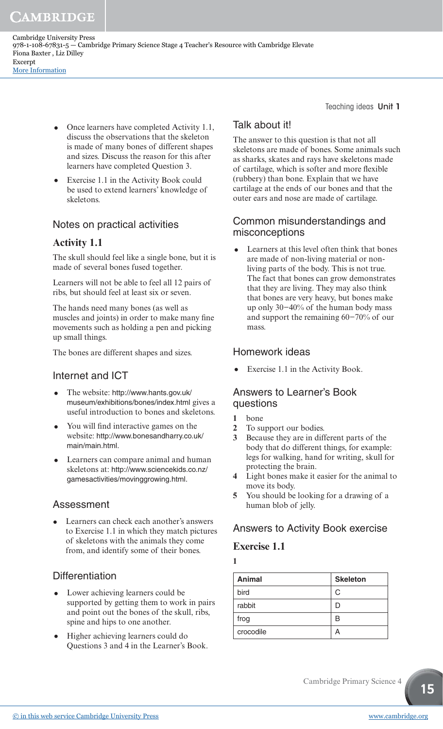Cambridge University Press 978-1-108-67831-5 — Cambridge Primary Science Stage 4 Teacher's Resource with Cambridge Elevate Fiona Baxter , Liz Dilley Excerpt [More Information](www.cambridge.org/9781108678315)

> • Once learners have completed Activity 1.1, discuss the observations that the skeleton is made of many bones of different shapes and sizes. Discuss the reason for this after learners have completed Question 3.

• Exercise 1.1 in the Activity Book could be used to extend learners' knowledge of skeletons.

## Notes on practical activities

## **Activity 1.1**

The skull should feel like a single bone, but it is made of several bones fused together.

Learners will not be able to feel all 12 pairs of ribs, but should feel at least six or seven.

The hands need many bones (as well as muscles and joints) in order to make many fine movements such as holding a pen and picking up small things.

The bones are different shapes and sizes.

## Internet and ICT

- The website: http://www.hants.gov.uk/ museum/exhibitions/bones/index.html gives a useful introduction to bones and skeletons.
- You will find interactive games on the website: http://www.bonesandharry.co.uk/ main/main.html.
- Learners can compare animal and human skeletons at: http://www.sciencekids.co.nz/ gamesactivities/movinggrowing.html.

## Assessment

Learners can check each another's answers to Exercise 1.1 in which they match pictures of skeletons with the animals they come from, and identify some of their bones.

## **Differentiation**

- Lower achieving learners could be supported by getting them to work in pairs and point out the bones of the skull, ribs, spine and hips to one another.
- Higher achieving learners could do Questions 3 and 4 in the Learner's Book.

# Teaching ideas Unit 1

## Talk about it!

The answer to this question is that not all skeletons are made of bones. Some animals such as sharks, skates and rays have skeletons made of cartilage, which is softer and more flexible (rubbery) than bone. Explain that we have cartilage at the ends of our bones and that the outer ears and nose are made of cartilage.

#### Common misunderstandings and misconceptions

• Learners at this level often think that bones are made of non-living material or nonliving parts of the body. This is not true. The fact that bones can grow demonstrates that they are living. They may also think that bones are very heavy, but bones make up only 30−40% of the human body mass and support the remaining 60−70% of our mass.

#### Homework ideas

• Exercise 1.1 in the Activity Book.

#### Answers to Learner's Book questions

- **1** bone
- **2** To support our bodies.
- **3** Because they are in different parts of the body that do different things, for example: legs for walking, hand for writing, skull for protecting the brain.
- **4** Light bones make it easier for the animal to move its body.
- **5** You should be looking for a drawing of a human blob of jelly.

# Answers to Activity Book exercise

## **Exercise 1.1**

| Animal    | <b>Skeleton</b> |  |
|-----------|-----------------|--|
| bird      | C               |  |
| rabbit    | L               |  |
| frog      | R               |  |
| crocodile | Р               |  |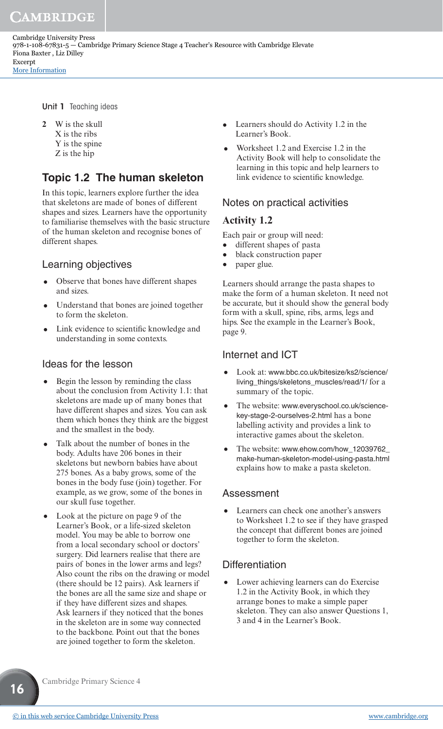Unit 1 Teaching ideas

**2** W is the skull X is the ribs Y is the spine Z is the hip

# **Topic 1.2 The human skeleton**

In this topic, learners explore further the idea that skeletons are made of bones of different shapes and sizes. Learners have the opportunity to familiarise themselves with the basic structure of the human skeleton and recognise bones of different shapes.

#### Learning objectives

- Observe that bones have different shapes and sizes.
- Understand that bones are joined together to form the skeleton.
- Link evidence to scientific knowledge and understanding in some contexts.

#### Ideas for the lesson

- Begin the lesson by reminding the class about the conclusion from Activity 1.1: that skeletons are made up of many bones that have different shapes and sizes. You can ask them which bones they think are the biggest and the smallest in the body.
- Talk about the number of bones in the body. Adults have 206 bones in their skeletons but newborn babies have about 275 bones. As a baby grows, some of the bones in the body fuse (join) together. For example, as we grow, some of the bones in our skull fuse together.
- Look at the picture on page 9 of the Learner's Book, or a life-sized skeleton model. You may be able to borrow one from a local secondary school or doctors' surgery. Did learners realise that there are pairs of bones in the lower arms and legs? Also count the ribs on the drawing or model (there should be 12 pairs). Ask learners if the bones are all the same size and shape or if they have different sizes and shapes. Ask learners if they noticed that the bones in the skeleton are in some way connected to the backbone. Point out that the bones are joined together to form the skeleton.
- Learners should do Activity 1.2 in the Learner's Book.
- Worksheet 1.2 and Exercise 1.2 in the Activity Book will help to consolidate the learning in this topic and help learners to link evidence to scientific knowledge.

#### Notes on practical activities

#### **Activity 1.2**

Each pair or group will need:

- different shapes of pasta
- black construction paper
- paper glue.

Learners should arrange the pasta shapes to make the form of a human skeleton. It need not be accurate, but it should show the general body form with a skull, spine, ribs, arms, legs and hips. See the example in the Learner's Book, page 9.

#### Internet and ICT

- Look at: www.bbc.co.uk/bitesize/ks2/science/ living\_things/skeletons\_muscles/read/1/ for a summary of the topic.
- The website: www.everyschool.co.uk/sciencekey-stage-2-ourselves-2.html has a bone labelling activity and provides a link to interactive games about the skeleton.
- The website: www.ehow.com/how\_12039762\_ make-human-skeleton-model-using-pasta.html explains how to make a pasta skeleton.

#### Assessment

• Learners can check one another's answers to Worksheet 1.2 to see if they have grasped the concept that different bones are joined together to form the skeleton.

#### **Differentiation**

• Lower achieving learners can do Exercise 1.2 in the Activity Book, in which they arrange bones to make a simple paper skeleton. They can also answer Questions 1, 3 and 4 in the Learner's Book.

Cambridge Primary Science 4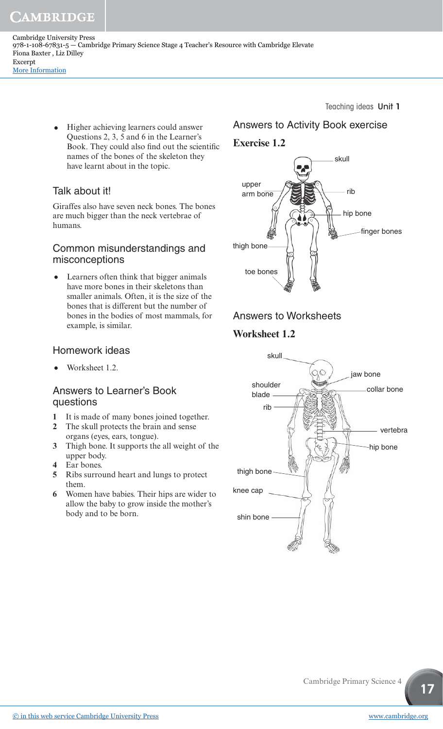Cambridge University Press 978-1-108-67831-5 — Cambridge Primary Science Stage 4 Teacher's Resource with Cambridge Elevate Fiona Baxter , Liz Dilley Excerpt [More Information](www.cambridge.org/9781108678315)

> • Higher achieving learners could answer Questions 2, 3, 5 and 6 in the Learner's Book. They could also find out the scientific names of the bones of the skeleton they have learnt about in the topic.

## Talk about it!

Giraffes also have seven neck bones. The bones are much bigger than the neck vertebrae of humans.

#### Common misunderstandings and misconceptions

• Learners often think that bigger animals have more bones in their skeletons than smaller animals. Often, it is the size of the bones that is different but the number of bones in the bodies of most mammals, for example, is similar.

#### Homework ideas

• Worksheet 1.2.

#### Answers to Learner's Book questions

- **1** It is made of many bones joined together.
- **2** The skull protects the brain and sense organs (eyes, ears, tongue).
- **3** Thigh bone. It supports the all weight of the upper body.
- **4** Ear bones.
- **5** Ribs surround heart and lungs to protect them.
- **6** Women have babies. Their hips are wider to allow the baby to grow inside the mother's body and to be born.

#### Teaching ideas Unit 1

# Answers to Activity Book exercise

**Exercise 1.2**



# Answers to Worksheets

## **Worksheet 1.2**

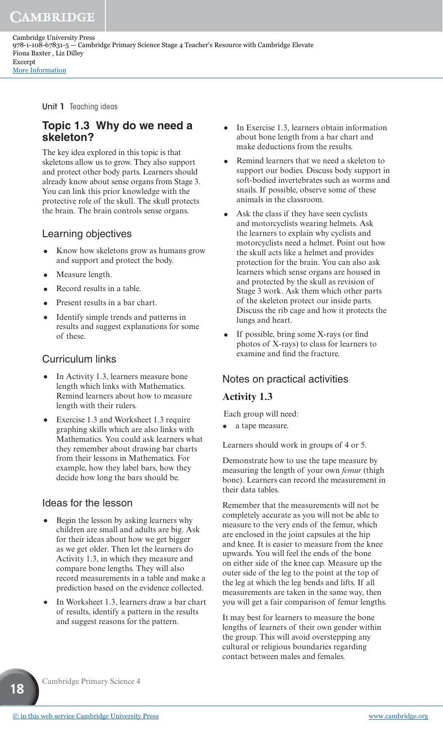Cambridge University Press 978-1-108-67831-5 — Cambridge Primary Science Stage 4 Teacher's Resource with Cambridge Elevate Fiona Baxter , Liz Dilley Excerpt [More Information](www.cambridge.org/9781108678315)

Unit 1 Teaching ideas

## **Topic 1.3 Why do we need a skeleton?**

The key idea explored in this topic is that skeletons allow us to grow. They also support and protect other body parts. Learners should already know about sense organs from Stage 3. You can link this prior knowledge with the protective role of the skull. The skull protects the brain. The brain controls sense organs.

#### Learning objectives

- Know how skeletons grow as humans grow and support and protect the body.
- Measure length.
- Record results in a table.
- Present results in a bar chart.
- Identify simple trends and patterns in results and suggest explanations for some of these.

#### Curriculum links

- In Activity 1.3, learners measure bone length which links with Mathematics. Remind learners about how to measure length with their rulers.
- Exercise 1.3 and Worksheet 1.3 require graphing skills which are also links with Mathematics. You could ask learners what they remember about drawing bar charts from their lessons in Mathematics. For example, how they label bars, how they decide how long the bars should be.

#### Ideas for the lesson

- Begin the lesson by asking learners why children are small and adults are big. Ask for their ideas about how we get bigger as we get older. Then let the learners do Activity 1.3, in which they measure and compare bone lengths. They will also record measurements in a table and make a prediction based on the evidence collected.
- In Worksheet 1.3, learners draw a bar chart of results, identify a pattern in the results and suggest reasons for the pattern.
- In Exercise 1.3, learners obtain information about bone length from a bar chart and make deductions from the results.
- Remind learners that we need a skeleton to support our bodies. Discuss body support in soft-bodied invertebrates such as worms and snails. If possible, observe some of these animals in the classroom.
- Ask the class if they have seen cyclists and motorcyclists wearing helmets. Ask the learners to explain why cyclists and motorcyclists need a helmet. Point out how the skull acts like a helmet and provides protection for the brain. You can also ask learners which sense organs are housed in and protected by the skull as revision of Stage 3 work. Ask them which other parts of the skeleton protect our inside parts. Discuss the rib cage and how it protects the lungs and heart.
- If possible, bring some X-rays (or find photos of X-rays) to class for learners to examine and find the fracture.

#### Notes on practical activities

#### **Activity 1.3**

Each group will need:

a tape measure.

Learners should work in groups of 4 or 5.

Demonstrate how to use the tape measure by measuring the length of your own *femur* (thigh bone). Learners can record the measurement in their data tables.

Remember that the measurements will not be completely accurate as you will not be able to measure to the very ends of the femur, which are enclosed in the joint capsules at the hip and knee. It is easier to measure from the knee upwards. You will feel the ends of the bone on either side of the knee cap. Measure up the outer side of the leg to the point at the top of the leg at which the leg bends and lifts. If all measurements are taken in the same way, then you will get a fair comparison of femur lengths.

It may best for learners to measure the bone lengths of learners of their own gender within the group. This will avoid overstepping any cultural or religious boundaries regarding contact between males and females.

Cambridge Primary Science 4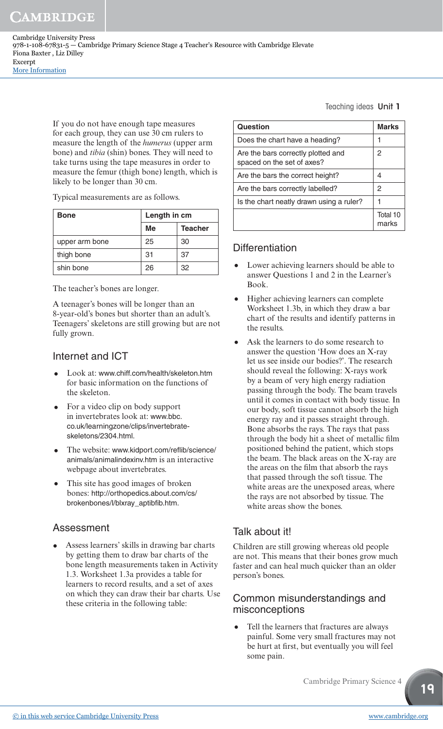Cambridge University Press 978-1-108-67831-5 — Cambridge Primary Science Stage 4 Teacher's Resource with Cambridge Elevate Fiona Baxter , Liz Dilley Excerpt [More Information](www.cambridge.org/9781108678315)

> If you do not have enough tape measures for each group, they can use 30 cm rulers to measure the length of the *humerus* (upper arm bone) and *tibia* (shin) bones. They will need to take turns using the tape measures in order to measure the femur (thigh bone) length, which is likely to be longer than 30 cm.

Typical measurements are as follows.

| <b>Bone</b>    | Length in cm |                |  |
|----------------|--------------|----------------|--|
|                | Me           | <b>Teacher</b> |  |
| upper arm bone | 25           | 30             |  |
| thigh bone     | 31           | 37             |  |
| shin bone      | 26           | 32             |  |

The teacher's bones are longer.

A teenager's bones will be longer than an 8-year-old's bones but shorter than an adult's. Teenagers' skeletons are still growing but are not fully grown.

#### Internet and ICT

- Look at: www.chiff.com/health/skeleton.htm for basic information on the functions of the skeleton.
- For a video clip on body support in invertebrates look at: www.bbc. co.uk/learningzone/clips/invertebrateskeletons/2304.html.
- The website: www.kidport.com/reflib/science/ animals/animalindexinv.htm is an interactive webpage about invertebrates.
- This site has good images of broken bones: http://orthopedics.about.com/cs/ brokenbones/l/blxray\_aptibfib.htm.

#### Assessment

• Assess learners' skills in drawing bar charts by getting them to draw bar charts of the bone length measurements taken in Activity 1.3. Worksheet 1.3a provides a table for learners to record results, and a set of axes on which they can draw their bar charts. Use these criteria in the following table:

Teaching ideas Unit 1

| Question                                                         | <b>Marks</b>      |
|------------------------------------------------------------------|-------------------|
| Does the chart have a heading?                                   |                   |
| Are the bars correctly plotted and<br>spaced on the set of axes? | 2                 |
| Are the bars the correct height?                                 | 4                 |
| Are the bars correctly labelled?                                 | 2                 |
| Is the chart neatly drawn using a ruler?                         |                   |
|                                                                  | Total 10<br>marks |

## **Differentiation**

- Lower achieving learners should be able to answer Questions 1 and 2 in the Learner's Book.
- Higher achieving learners can complete Worksheet 1.3b, in which they draw a bar chart of the results and identify patterns in the results.
- Ask the learners to do some research to answer the question 'How does an X-ray let us see inside our bodies?'. The research should reveal the following: X-rays work by a beam of very high energy radiation passing through the body. The beam travels until it comes in contact with body tissue. In our body, soft tissue cannot absorb the high energy ray and it passes straight through. Bone absorbs the rays. The rays that pass through the body hit a sheet of metallic film positioned behind the patient, which stops the beam. The black areas on the X-ray are the areas on the film that absorb the rays that passed through the soft tissue. The white areas are the unexposed areas, where the rays are not absorbed by tissue. The white areas show the bones.

# Talk about it!

Children are still growing whereas old people are not. This means that their bones grow much faster and can heal much quicker than an older person's bones.

#### Common misunderstandings and misconceptions

• Tell the learners that fractures are always painful. Some very small fractures may not be hurt at first, but eventually you will feel some pain.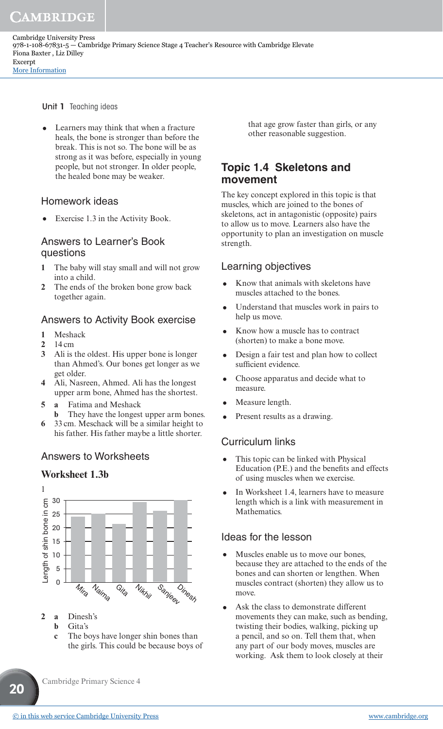Cambridge University Press 978-1-108-67831-5 — Cambridge Primary Science Stage 4 Teacher's Resource with Cambridge Elevate Fiona Baxter , Liz Dilley Excerpt [More Information](www.cambridge.org/9781108678315)

Unit 1 Teaching ideas

• Learners may think that when a fracture heals, the bone is stronger than before the break. This is not so. The bone will be as strong as it was before, especially in young people, but not stronger. In older people, the healed bone may be weaker.

#### Homework ideas

• Exercise 1.3 in the Activity Book.

#### Answers to Learner's Book questions

- **1** The baby will stay small and will not grow into a child.
- **2** The ends of the broken bone grow back together again.

#### Answers to Activity Book exercise

- **1** Meshack
- **2** 14 cm
- **3** Ali is the oldest. His upper bone is longer than Ahmed's. Our bones get longer as we get older.
- **4** Ali, Nasreen, Ahmed. Ali has the longest upper arm bone, Ahmed has the shortest.
- **5 a** Fatima and Meshack
	- **b** They have the longest upper arm bones.
- **6** 33 cm. Meschack will be a similar height to his father. His father maybe a little shorter.

#### Answers to Worksheets

#### **Worksheet 1.3b**



- **2 a** Dinesh's
	- **b** Gita's

**20**

**c** The boys have longer shin bones than the girls. This could be because boys of that age grow faster than girls, or any other reasonable suggestion.

#### **Topic 1.4 Skeletons and movement**

The key concept explored in this topic is that muscles, which are joined to the bones of skeletons, act in antagonistic (opposite) pairs to allow us to move. Learners also have the opportunity to plan an investigation on muscle strength.

#### Learning objectives

- Know that animals with skeletons have muscles attached to the bones.
- Understand that muscles work in pairs to help us move.
- Know how a muscle has to contract (shorten) to make a bone move.
- Design a fair test and plan how to collect sufficient evidence.
- Choose apparatus and decide what to measure.
- Measure length.
- Present results as a drawing.

#### Curriculum links

- This topic can be linked with Physical Education (P.E.) and the benefits and effects of using muscles when we exercise.
- In Worksheet 1.4, learners have to measure length which is a link with measurement in Mathematics.

#### Ideas for the lesson

- Muscles enable us to move our bones, because they are attached to the ends of the bones and can shorten or lengthen. When muscles contract (shorten) they allow us to move.
- Ask the class to demonstrate different movements they can make, such as bending, twisting their bodies, walking, picking up a pencil, and so on. Tell them that, when any part of our body moves, muscles are working. Ask them to look closely at their